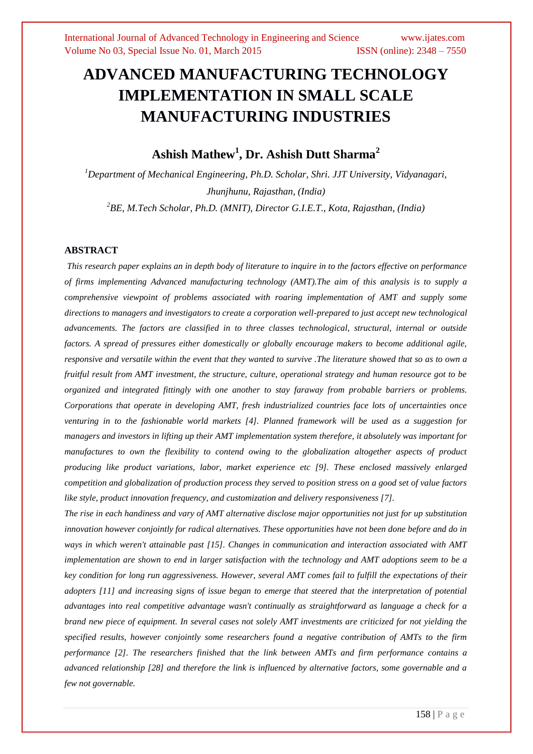# **ADVANCED MANUFACTURING TECHNOLOGY IMPLEMENTATION IN SMALL SCALE MANUFACTURING INDUSTRIES**

**Ashish Mathew<sup>1</sup> , Dr. Ashish Dutt Sharma<sup>2</sup>**

*<sup>1</sup>Department of Mechanical Engineering, Ph.D. Scholar, Shri. JJT University, Vidyanagari, Jhunjhunu, Rajasthan, (India) 2 BE, M.Tech Scholar, Ph.D. (MNIT), Director G.I.E.T., Kota, Rajasthan, (India)*

## **ABSTRACT**

*This research paper explains an in depth body of literature to inquire in to the factors effective on performance of firms implementing Advanced manufacturing technology (AMT).The aim of this analysis is to supply a comprehensive viewpoint of problems associated with roaring implementation of AMT and supply some directions to managers and investigators to create a corporation well-prepared to just accept new technological advancements. The factors are classified in to three classes technological, structural, internal or outside factors. A spread of pressures either domestically or globally encourage makers to become additional agile, responsive and versatile within the event that they wanted to survive .The literature showed that so as to own a fruitful result from AMT investment, the structure, culture, operational strategy and human resource got to be organized and integrated fittingly with one another to stay faraway from probable barriers or problems. Corporations that operate in developing AMT, fresh industrialized countries face lots of uncertainties once venturing in to the fashionable world markets [4]. Planned framework will be used as a suggestion for managers and investors in lifting up their AMT implementation system therefore, it absolutely was important for manufactures to own the flexibility to contend owing to the globalization altogether aspects of product producing like product variations, labor, market experience etc [9]. These enclosed massively enlarged competition and globalization of production process they served to position stress on a good set of value factors like style, product innovation frequency, and customization and delivery responsiveness [7].*

*The rise in each handiness and vary of AMT alternative disclose major opportunities not just for up substitution innovation however conjointly for radical alternatives. These opportunities have not been done before and do in ways in which weren't attainable past [15]. Changes in communication and interaction associated with AMT implementation are shown to end in larger satisfaction with the technology and AMT adoptions seem to be a key condition for long run aggressiveness. However, several AMT comes fail to fulfill the expectations of their adopters [11] and increasing signs of issue began to emerge that steered that the interpretation of potential advantages into real competitive advantage wasn't continually as straightforward as language a check for a brand new piece of equipment. In several cases not solely AMT investments are criticized for not yielding the specified results, however conjointly some researchers found a negative contribution of AMTs to the firm performance [2]. The researchers finished that the link between AMTs and firm performance contains a advanced relationship [28] and therefore the link is influenced by alternative factors, some governable and a few not governable.*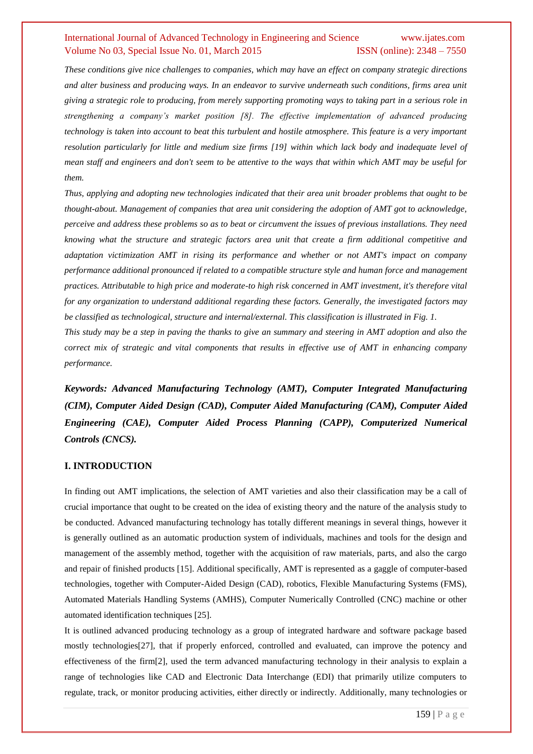*These conditions give nice challenges to companies, which may have an effect on company strategic directions and alter business and producing ways. In an endeavor to survive underneath such conditions, firms area unit giving a strategic role to producing, from merely supporting promoting ways to taking part in a serious role in strengthening a company's market position [8]. The effective implementation of advanced producing technology is taken into account to beat this turbulent and hostile atmosphere. This feature is a very important resolution particularly for little and medium size firms [19] within which lack body and inadequate level of mean staff and engineers and don't seem to be attentive to the ways that within which AMT may be useful for them.*

*Thus, applying and adopting new technologies indicated that their area unit broader problems that ought to be thought-about. Management of companies that area unit considering the adoption of AMT got to acknowledge, perceive and address these problems so as to beat or circumvent the issues of previous installations. They need knowing what the structure and strategic factors area unit that create a firm additional competitive and adaptation victimization AMT in rising its performance and whether or not AMT's impact on company performance additional pronounced if related to a compatible structure style and human force and management practices. Attributable to high price and moderate-to high risk concerned in AMT investment, it's therefore vital for any organization to understand additional regarding these factors. Generally, the investigated factors may be classified as technological, structure and internal/external. This classification is illustrated in Fig. 1. This study may be a step in paving the thanks to give an summary and steering in AMT adoption and also the* 

*correct mix of strategic and vital components that results in effective use of AMT in enhancing company performance.*

*Keywords: Advanced Manufacturing Technology (AMT), Computer Integrated Manufacturing (CIM), Computer Aided Design (CAD), Computer Aided Manufacturing (CAM), Computer Aided Engineering (CAE), Computer Aided Process Planning (CAPP), Computerized Numerical Controls (CNCS).*

## **I. INTRODUCTION**

In finding out AMT implications, the selection of AMT varieties and also their classification may be a call of crucial importance that ought to be created on the idea of existing theory and the nature of the analysis study to be conducted. Advanced manufacturing technology has totally different meanings in several things, however it is generally outlined as an automatic production system of individuals, machines and tools for the design and management of the assembly method, together with the acquisition of raw materials, parts, and also the cargo and repair of finished products [15]. Additional specifically, AMT is represented as a gaggle of computer-based technologies, together with Computer-Aided Design (CAD), robotics, Flexible Manufacturing Systems (FMS), Automated Materials Handling Systems (AMHS), Computer Numerically Controlled (CNC) machine or other automated identification techniques [25].

It is outlined advanced producing technology as a group of integrated hardware and software package based mostly technologies[27], that if properly enforced, controlled and evaluated, can improve the potency and effectiveness of the firm[2], used the term advanced manufacturing technology in their analysis to explain a range of technologies like CAD and Electronic Data Interchange (EDI) that primarily utilize computers to regulate, track, or monitor producing activities, either directly or indirectly. Additionally, many technologies or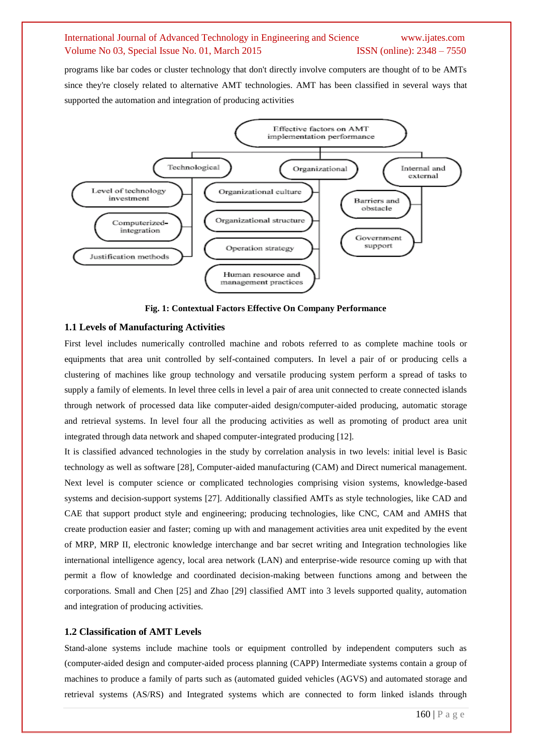programs like bar codes or cluster technology that don't directly involve computers are thought of to be AMTs since they're closely related to alternative AMT technologies. AMT has been classified in several ways that supported the automation and integration of producing activities



**Fig. 1: Contextual Factors Effective On Company Performance**

#### **1.1 Levels of Manufacturing Activities**

First level includes numerically controlled machine and robots referred to as complete machine tools or equipments that area unit controlled by self-contained computers. In level a pair of or producing cells a clustering of machines like group technology and versatile producing system perform a spread of tasks to supply a family of elements. In level three cells in level a pair of area unit connected to create connected islands through network of processed data like computer-aided design/computer-aided producing, automatic storage and retrieval systems. In level four all the producing activities as well as promoting of product area unit integrated through data network and shaped computer-integrated producing [12].

It is classified advanced technologies in the study by correlation analysis in two levels: initial level is Basic technology as well as software [28], Computer-aided manufacturing (CAM) and Direct numerical management. Next level is computer science or complicated technologies comprising vision systems, knowledge-based systems and decision-support systems [27]. Additionally classified AMTs as style technologies, like CAD and CAE that support product style and engineering; producing technologies, like CNC, CAM and AMHS that create production easier and faster; coming up with and management activities area unit expedited by the event of MRP, MRP II, electronic knowledge interchange and bar secret writing and Integration technologies like international intelligence agency, local area network (LAN) and enterprise-wide resource coming up with that permit a flow of knowledge and coordinated decision-making between functions among and between the corporations. Small and Chen [25] and Zhao [29] classified AMT into 3 levels supported quality, automation and integration of producing activities.

#### **1.2 Classification of AMT Levels**

Stand-alone systems include machine tools or equipment controlled by independent computers such as (computer-aided design and computer-aided process planning (CAPP) Intermediate systems contain a group of machines to produce a family of parts such as (automated guided vehicles (AGVS) and automated storage and retrieval systems (AS/RS) and Integrated systems which are connected to form linked islands through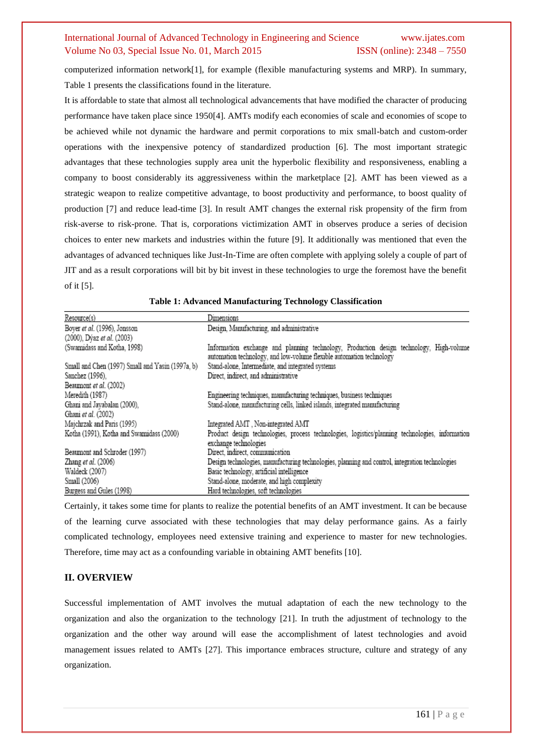computerized information network[1], for example (flexible manufacturing systems and MRP). In summary, [Table 1](http://scialert.net/fulltext/?doi=jas.2010.1229.1242&org=11#t1) presents the classifications found in the literature.

It is affordable to state that almost all technological advancements that have modified the character of producing performance have taken place since 1950[4]. AMTs modify each economies of scale and economies of scope to be achieved while not dynamic the hardware and permit corporations to mix small-batch and custom-order operations with the inexpensive potency of standardized production [6]. The most important strategic advantages that these technologies supply area unit the hyperbolic flexibility and responsiveness, enabling a company to boost considerably its aggressiveness within the marketplace [2]. AMT has been viewed as a strategic weapon to realize competitive advantage, to boost productivity and performance, to boost quality of production [7] and reduce lead-time [3]. In result AMT changes the external risk propensity of the firm from risk-averse to risk-prone. That is, corporations victimization AMT in observes produce a series of decision choices to enter new markets and industries within the future [9]. It additionally was mentioned that even the advantages of advanced techniques like Just-In-Time are often complete with applying solely a couple of part of JIT and as a result corporations will bit by bit invest in these technologies to urge the foremost have the benefit of it [5].

|                                                  | Dimensions                                                                                                                                                      |
|--------------------------------------------------|-----------------------------------------------------------------------------------------------------------------------------------------------------------------|
| Resource(s)                                      |                                                                                                                                                                 |
| Boyer et al. (1996), Jonsson                     | Design, Manufacturing, and administrative                                                                                                                       |
| (2000), Dýaz et al. (2003)                       |                                                                                                                                                                 |
| (Swamidass and Kotha, 1998)                      | Information exchange and planning technology, Production design technology, High-volume<br>automation technology, and low-volume flexible automation technology |
| Small and Chen (1997) Small and Yasin (1997a, b) | Stand-alone, Intermediate, and integrated systems                                                                                                               |
| Sanchez (1996),                                  | Direct, indirect, and administrative                                                                                                                            |
| Beaumont et al. (2002)                           |                                                                                                                                                                 |
| Meredith (1987)                                  | Engineering techniques, manufacturing techniques, business techniques                                                                                           |
| Ghani and Jayabalan (2000),                      | Stand-alone, manufacturing cells, linked islands, integrated manufacturing                                                                                      |
| Ghani et al. (2002)                              |                                                                                                                                                                 |
| Majchrzak and Paris (1995)                       | Integrated AMT, Non-integrated AMT                                                                                                                              |
| Kotha (1991), Kotha and Swamidass (2000)         | Product design technologies, process technologies, logistics/planning technologies, information<br>exchange technologies                                        |
| Beaumont and Schroder (1997)                     | Direct, indirect, communication                                                                                                                                 |
| Zhang et al. (2006)                              | Design technologies, manufacturing technologies, planning and control, integration technologies                                                                 |
| Waldeck (2007)                                   | Basic technology, artificial intelligence                                                                                                                       |
| Small (2006)                                     | Stand-alone, moderate, and high complexity                                                                                                                      |
| Burgess and Gules (1998)                         | Hard technologies, soft technologies                                                                                                                            |

| Table 1: Advanced Manufacturing Technology Classification |  |
|-----------------------------------------------------------|--|
|-----------------------------------------------------------|--|

Certainly, it takes some time for plants to realize the potential benefits of an AMT investment. It can be because of the learning curve associated with these technologies that may delay performance gains. As a fairly complicated technology, employees need extensive training and experience to master for new technologies. Therefore, time may act as a confounding variable in obtaining AMT benefits [10].

## **II. OVERVIEW**

Successful implementation of AMT involves the mutual adaptation of each the new technology to the organization and also the organization to the technology [21]. In truth the adjustment of technology to the organization and the other way around will ease the accomplishment of latest technologies and avoid management issues related to AMTs [27]. This importance embraces structure, culture and strategy of any organization.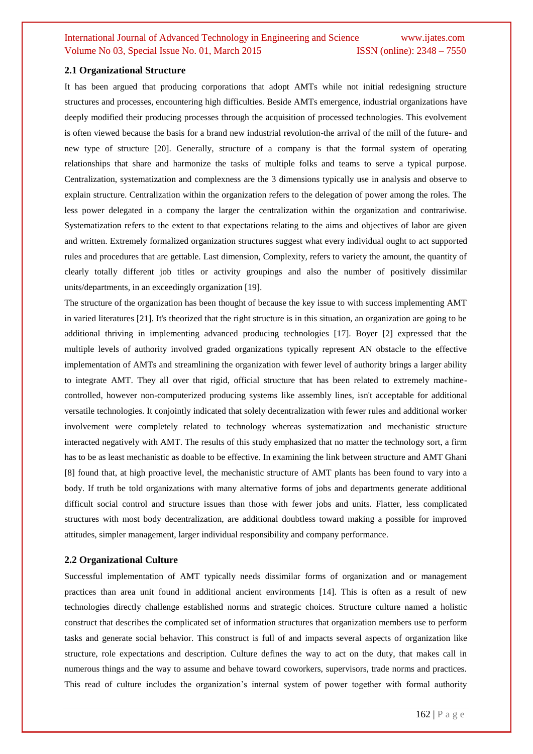## **2.1 Organizational Structure**

It has been argued that producing corporations that adopt AMTs while not initial redesigning structure structures and processes, encountering high difficulties. Beside AMTs emergence, industrial organizations have deeply modified their producing processes through the acquisition of processed technologies. This evolvement is often viewed because the basis for a brand new industrial revolution-the arrival of the mill of the future- and new type of structure [20]. Generally, structure of a company is that the formal system of operating relationships that share and harmonize the tasks of multiple folks and teams to serve a typical purpose. Centralization, systematization and complexness are the 3 dimensions typically use in analysis and observe to explain structure. Centralization within the organization refers to the delegation of power among the roles. The less power delegated in a company the larger the centralization within the organization and contrariwise. Systematization refers to the extent to that expectations relating to the aims and objectives of labor are given and written. Extremely formalized organization structures suggest what every individual ought to act supported rules and procedures that are gettable. Last dimension, Complexity, refers to variety the amount, the quantity of clearly totally different job titles or activity groupings and also the number of positively dissimilar units/departments, in an exceedingly organization [19].

The structure of the organization has been thought of because the key issue to with success implementing AMT in varied literatures [21]. It's theorized that the right structure is in this situation, an organization are going to be additional thriving in implementing advanced producing technologies [17]. Boyer [2] expressed that the multiple levels of authority involved graded organizations typically represent AN obstacle to the effective implementation of AMTs and streamlining the organization with fewer level of authority brings a larger ability to integrate AMT. They all over that rigid, official structure that has been related to extremely machinecontrolled, however non-computerized producing systems like assembly lines, isn't acceptable for additional versatile technologies. It conjointly indicated that solely decentralization with fewer rules and additional worker involvement were completely related to technology whereas systematization and mechanistic structure interacted negatively with AMT. The results of this study emphasized that no matter the technology sort, a firm has to be as least mechanistic as doable to be effective. In examining the link between structure and AMT Ghani [8] found that, at high proactive level, the mechanistic structure of AMT plants has been found to vary into a body. If truth be told organizations with many alternative forms of jobs and departments generate additional difficult social control and structure issues than those with fewer jobs and units. Flatter, less complicated structures with most body decentralization, are additional doubtless toward making a possible for improved attitudes, simpler management, larger individual responsibility and company performance.

#### **2.2 Organizational Culture**

Successful implementation of AMT typically needs dissimilar forms of organization and or management practices than area unit found in additional ancient environments [14]. This is often as a result of new technologies directly challenge established norms and strategic choices. Structure culture named a holistic construct that describes the complicated set of information structures that organization members use to perform tasks and generate social behavior. This construct is full of and impacts several aspects of organization like structure, role expectations and description. Culture defines the way to act on the duty, that makes call in numerous things and the way to assume and behave toward coworkers, supervisors, trade norms and practices. This read of culture includes the organization's internal system of power together with formal authority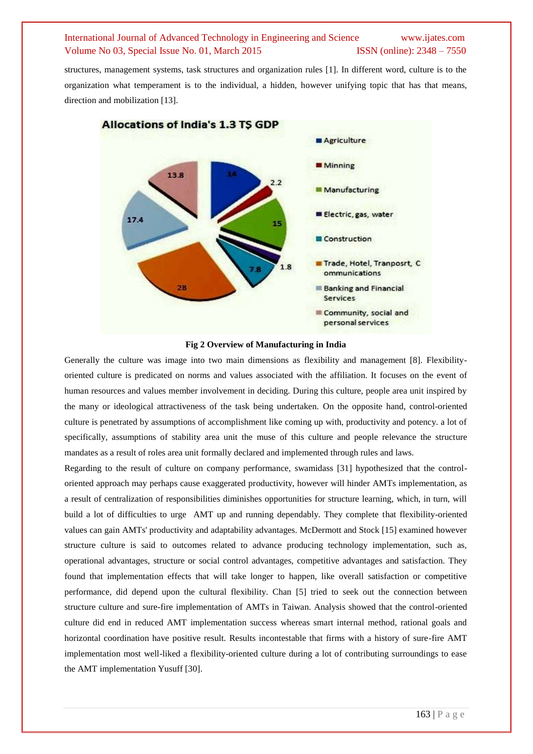structures, management systems, task structures and organization rules [1]. In different word, culture is to the organization what temperament is to the individual, a hidden, however unifying topic that has that means, direction and mobilization [13].



**Fig 2 Overview of Manufacturing in India**

Generally the culture was image into two main dimensions as flexibility and management [8]. Flexibilityoriented culture is predicated on norms and values associated with the affiliation. It focuses on the event of human resources and values member involvement in deciding. During this culture, people area unit inspired by the many or ideological attractiveness of the task being undertaken. On the opposite hand, control-oriented culture is penetrated by assumptions of accomplishment like coming up with, productivity and potency. a lot of specifically, assumptions of stability area unit the muse of this culture and people relevance the structure mandates as a result of roles area unit formally declared and implemented through rules and laws.

Regarding to the result of culture on company performance, swamidass [31] hypothesized that the controloriented approach may perhaps cause exaggerated productivity, however will hinder AMTs implementation, as a result of centralization of responsibilities diminishes opportunities for structure learning, which, in turn, will build a lot of difficulties to urge AMT up and running dependably. They complete that flexibility-oriented values can gain AMTs' productivity and adaptability advantages. McDermott and Stock [15] examined however structure culture is said to outcomes related to advance producing technology implementation, such as, operational advantages, structure or social control advantages, competitive advantages and satisfaction. They found that implementation effects that will take longer to happen, like overall satisfaction or competitive performance, did depend upon the cultural flexibility. Chan [5] tried to seek out the connection between structure culture and sure-fire implementation of AMTs in Taiwan. Analysis showed that the control-oriented culture did end in reduced AMT implementation success whereas smart internal method, rational goals and horizontal coordination have positive result. Results incontestable that firms with a history of sure-fire AMT implementation most well-liked a flexibility-oriented culture during a lot of contributing surroundings to ease the AMT implementation Yusuff [30].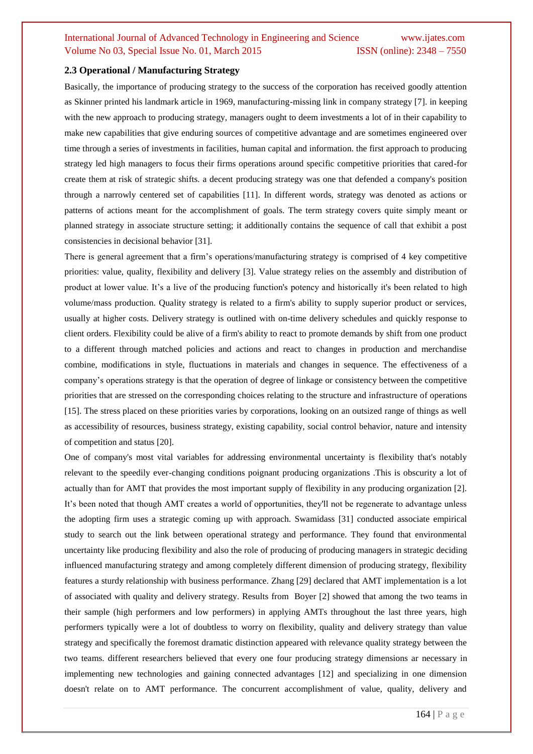## **2.3 Operational / Manufacturing Strategy**

Basically, the importance of producing strategy to the success of the corporation has received goodly attention as Skinner printed his landmark article in 1969, manufacturing-missing link in company strategy [7]. in keeping with the new approach to producing strategy, managers ought to deem investments a lot of in their capability to make new capabilities that give enduring sources of competitive advantage and are sometimes engineered over time through a series of investments in facilities, human capital and information. the first approach to producing strategy led high managers to focus their firms operations around specific competitive priorities that cared-for create them at risk of strategic shifts. a decent producing strategy was one that defended a company's position through a narrowly centered set of capabilities [11]. In different words, strategy was denoted as actions or patterns of actions meant for the accomplishment of goals. The term strategy covers quite simply meant or planned strategy in associate structure setting; it additionally contains the sequence of call that exhibit a post consistencies in decisional behavior [31].

There is general agreement that a firm's operations/manufacturing strategy is comprised of 4 key competitive priorities: value, quality, flexibility and delivery [3]. Value strategy relies on the assembly and distribution of product at lower value. It's a live of the producing function's potency and historically it's been related to high volume/mass production. Quality strategy is related to a firm's ability to supply superior product or services, usually at higher costs. Delivery strategy is outlined with on-time delivery schedules and quickly response to client orders. Flexibility could be alive of a firm's ability to react to promote demands by shift from one product to a different through matched policies and actions and react to changes in production and merchandise combine, modifications in style, fluctuations in materials and changes in sequence. The effectiveness of a company's operations strategy is that the operation of degree of linkage or consistency between the competitive priorities that are stressed on the corresponding choices relating to the structure and infrastructure of operations [15]. The stress placed on these priorities varies by corporations, looking on an outsized range of things as well as accessibility of resources, business strategy, existing capability, social control behavior, nature and intensity of competition and status [20].

One of company's most vital variables for addressing environmental uncertainty is flexibility that's notably relevant to the speedily ever-changing conditions poignant producing organizations .This is obscurity a lot of actually than for AMT that provides the most important supply of flexibility in any producing organization [2]. It's been noted that though AMT creates a world of opportunities, they'll not be regenerate to advantage unless the adopting firm uses a strategic coming up with approach. Swamidass [31] conducted associate empirical study to search out the link between operational strategy and performance. They found that environmental uncertainty like producing flexibility and also the role of producing of producing managers in strategic deciding influenced manufacturing strategy and among completely different dimension of producing strategy, flexibility features a sturdy relationship with business performance. Zhang [29] declared that AMT implementation is a lot of associated with quality and delivery strategy. Results from Boyer [2] showed that among the two teams in their sample (high performers and low performers) in applying AMTs throughout the last three years, high performers typically were a lot of doubtless to worry on flexibility, quality and delivery strategy than value strategy and specifically the foremost dramatic distinction appeared with relevance quality strategy between the two teams. different researchers believed that every one four producing strategy dimensions ar necessary in implementing new technologies and gaining connected advantages [12] and specializing in one dimension doesn't relate on to AMT performance. The concurrent accomplishment of value, quality, delivery and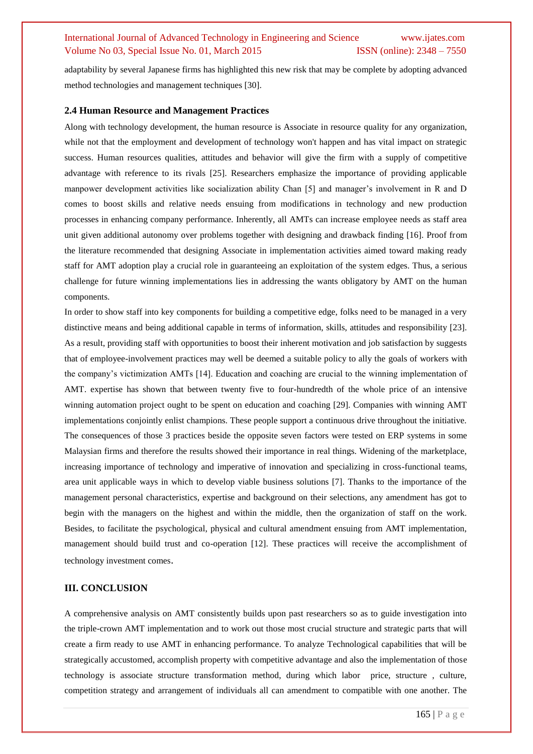adaptability by several Japanese firms has highlighted this new risk that may be complete by adopting advanced method technologies and management techniques [30].

#### **2.4 Human Resource and Management Practices**

Along with technology development, the human resource is Associate in resource quality for any organization, while not that the employment and development of technology won't happen and has vital impact on strategic success. Human resources qualities, attitudes and behavior will give the firm with a supply of competitive advantage with reference to its rivals [25]. Researchers emphasize the importance of providing applicable manpower development activities like socialization ability Chan [5] and manager's involvement in R and D comes to boost skills and relative needs ensuing from modifications in technology and new production processes in enhancing company performance. Inherently, all AMTs can increase employee needs as staff area unit given additional autonomy over problems together with designing and drawback finding [16]. Proof from the literature recommended that designing Associate in implementation activities aimed toward making ready staff for AMT adoption play a crucial role in guaranteeing an exploitation of the system edges. Thus, a serious challenge for future winning implementations lies in addressing the wants obligatory by AMT on the human components.

In order to show staff into key components for building a competitive edge, folks need to be managed in a very distinctive means and being additional capable in terms of information, skills, attitudes and responsibility [23]. As a result, providing staff with opportunities to boost their inherent motivation and job satisfaction by suggests that of employee-involvement practices may well be deemed a suitable policy to ally the goals of workers with the company's victimization AMTs [14]. Education and coaching are crucial to the winning implementation of AMT. expertise has shown that between twenty five to four-hundredth of the whole price of an intensive winning automation project ought to be spent on education and coaching [29]. Companies with winning AMT implementations conjointly enlist champions. These people support a continuous drive throughout the initiative. The consequences of those 3 practices beside the opposite seven factors were tested on ERP systems in some Malaysian firms and therefore the results showed their importance in real things. Widening of the marketplace, increasing importance of technology and imperative of innovation and specializing in cross-functional teams, area unit applicable ways in which to develop viable business solutions [7]. Thanks to the importance of the management personal characteristics, expertise and background on their selections, any amendment has got to begin with the managers on the highest and within the middle, then the organization of staff on the work. Besides, to facilitate the psychological, physical and cultural amendment ensuing from AMT implementation, management should build trust and co-operation [12]. These practices will receive the accomplishment of technology investment comes.

#### **III. CONCLUSION**

A comprehensive analysis on AMT consistently builds upon past researchers so as to guide investigation into the triple-crown AMT implementation and to work out those most crucial structure and strategic parts that will create a firm ready to use AMT in enhancing performance. To analyze Technological capabilities that will be strategically accustomed, accomplish property with competitive advantage and also the implementation of those technology is associate structure transformation method, during which labor price, structure , culture, competition strategy and arrangement of individuals all can amendment to compatible with one another. The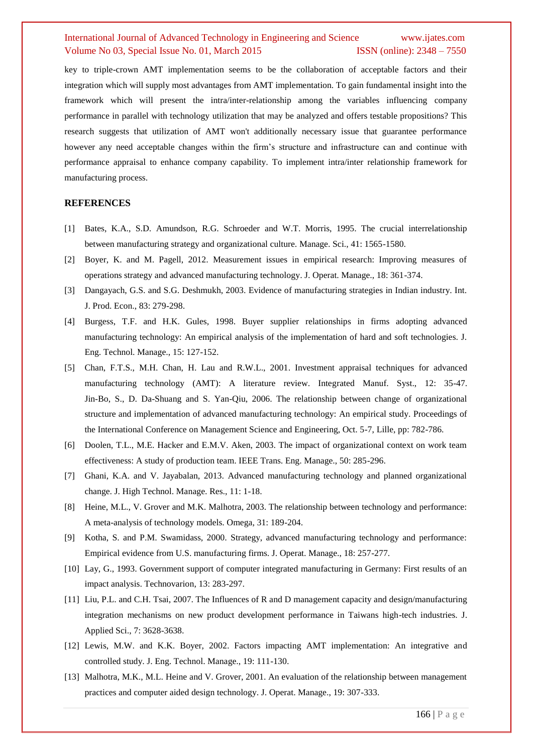key to triple-crown AMT implementation seems to be the collaboration of acceptable factors and their integration which will supply most advantages from AMT implementation. To gain fundamental insight into the framework which will present the intra/inter-relationship among the variables influencing company performance in parallel with technology utilization that may be analyzed and offers testable propositions? This research suggests that utilization of AMT won't additionally necessary issue that guarantee performance however any need acceptable changes within the firm's structure and infrastructure can and continue with performance appraisal to enhance company capability. To implement intra/inter relationship framework for manufacturing process.

## **REFERENCES**

- [1] Bates, K.A., S.D. Amundson, R.G. Schroeder and W.T. Morris, 1995. The crucial interrelationship between manufacturing strategy and organizational culture. Manage. Sci., 41: 1565-1580.
- [2] Boyer, K. and M. Pagell, 2012. Measurement issues in empirical research: Improving measures of operations strategy and advanced manufacturing technology. J. Operat. Manage., 18: 361-374.
- [3] Dangayach, G.S. and S.G. Deshmukh, 2003. Evidence of manufacturing strategies in Indian industry. Int. J. Prod. Econ., 83: 279-298.
- [4] Burgess, T.F. and H.K. Gules, 1998. Buyer supplier relationships in firms adopting advanced manufacturing technology: An empirical analysis of the implementation of hard and soft technologies. J. Eng. Technol. Manage., 15: 127-152.
- [5] Chan, F.T.S., M.H. Chan, H. Lau and R.W.L., 2001. Investment appraisal techniques for advanced manufacturing technology (AMT): A literature review. Integrated Manuf. Syst., 12: 35-47. Jin-Bo, S., D. Da-Shuang and S. Yan-Qiu, 2006. The relationship between change of organizational structure and implementation of advanced manufacturing technology: An empirical study. Proceedings of the International Conference on Management Science and Engineering, Oct. 5-7, Lille, pp: 782-786.
- [6] Doolen, T.L., M.E. Hacker and E.M.V. Aken, 2003. The impact of organizational context on work team effectiveness: A study of production team. IEEE Trans. Eng. Manage., 50: 285-296.
- [7] Ghani, K.A. and V. Jayabalan, 2013. Advanced manufacturing technology and planned organizational change. J. High Technol. Manage. Res., 11: 1-18.
- [8] Heine, M.L., V. Grover and M.K. Malhotra, 2003. The relationship between technology and performance: A meta-analysis of technology models. Omega, 31: 189-204.
- [9] Kotha, S. and P.M. Swamidass, 2000. Strategy, advanced manufacturing technology and performance: Empirical evidence from U.S. manufacturing firms. J. Operat. Manage., 18: 257-277.
- [10] Lay, G., 1993. Government support of computer integrated manufacturing in Germany: First results of an impact analysis. Technovarion, 13: 283-297.
- [11] Liu, P.L. and C.H. Tsai, 2007. The Influences of R and D management capacity and design/manufacturing integration mechanisms on new product development performance in Taiwans high-tech industries. J. Applied Sci., 7: 3628-3638.
- [12] Lewis, M.W. and K.K. Boyer, 2002. Factors impacting AMT implementation: An integrative and controlled study. J. Eng. Technol. Manage., 19: 111-130.
- [13] Malhotra, M.K., M.L. Heine and V. Grover, 2001. An evaluation of the relationship between management practices and computer aided design technology. J. Operat. Manage., 19: 307-333.